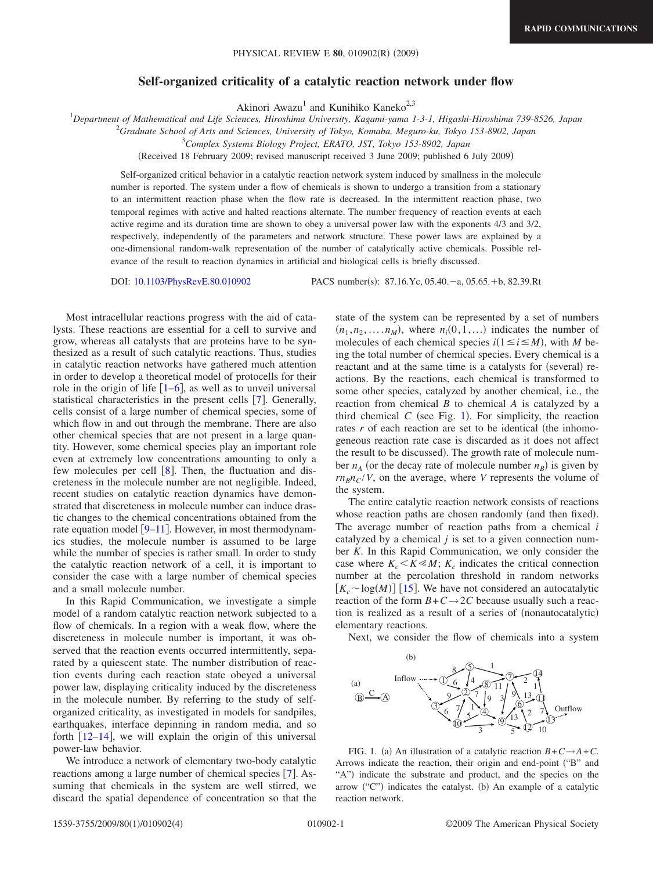## **Self-organized criticality of a catalytic reaction network under flow**

Akinori Awazu<sup>1</sup> and Kunihiko Kaneko<sup>2,3</sup>

1 *Department of Mathematical and Life Sciences, Hiroshima University, Kagami-yama 1-3-1, Higashi-Hiroshima 739-8526, Japan*

2 *Graduate School of Arts and Sciences, University of Tokyo, Komaba, Meguro-ku, Tokyo 153-8902, Japan*

3 *Complex Systems Biology Project, ERATO, JST, Tokyo 153-8902, Japan*

Received 18 February 2009; revised manuscript received 3 June 2009; published 6 July 2009-

Self-organized critical behavior in a catalytic reaction network system induced by smallness in the molecule number is reported. The system under a flow of chemicals is shown to undergo a transition from a stationary to an intermittent reaction phase when the flow rate is decreased. In the intermittent reaction phase, two temporal regimes with active and halted reactions alternate. The number frequency of reaction events at each active regime and its duration time are shown to obey a universal power law with the exponents 4/3 and 3/2, respectively, independently of the parameters and network structure. These power laws are explained by a one-dimensional random-walk representation of the number of catalytically active chemicals. Possible relevance of the result to reaction dynamics in artificial and biological cells is briefly discussed.

DOI: [10.1103/PhysRevE.80.010902](http://dx.doi.org/10.1103/PhysRevE.80.010902)

:  $87.16$ . Yc,  $05.40 - a$ ,  $05.65.+b$ ,  $82.39$ . Rt

Most intracellular reactions progress with the aid of catalysts. These reactions are essential for a cell to survive and grow, whereas all catalysts that are proteins have to be synthesized as a result of such catalytic reactions. Thus, studies in catalytic reaction networks have gathered much attention in order to develop a theoretical model of protocells for their role in the origin of life  $[1-6]$  $[1-6]$  $[1-6]$ , as well as to unveil universal statistical characteristics in the present cells  $[7]$  $[7]$  $[7]$ . Generally, cells consist of a large number of chemical species, some of which flow in and out through the membrane. There are also other chemical species that are not present in a large quantity. However, some chemical species play an important role even at extremely low concentrations amounting to only a few molecules per cell  $\lceil 8 \rceil$  $\lceil 8 \rceil$  $\lceil 8 \rceil$ . Then, the fluctuation and discreteness in the molecule number are not negligible. Indeed, recent studies on catalytic reaction dynamics have demonstrated that discreteness in molecule number can induce drastic changes to the chemical concentrations obtained from the rate equation model  $[9-11]$  $[9-11]$  $[9-11]$ . However, in most thermodynamics studies, the molecule number is assumed to be large while the number of species is rather small. In order to study the catalytic reaction network of a cell, it is important to consider the case with a large number of chemical species and a small molecule number.

In this Rapid Communication, we investigate a simple model of a random catalytic reaction network subjected to a flow of chemicals. In a region with a weak flow, where the discreteness in molecule number is important, it was observed that the reaction events occurred intermittently, separated by a quiescent state. The number distribution of reaction events during each reaction state obeyed a universal power law, displaying criticality induced by the discreteness in the molecule number. By referring to the study of selforganized criticality, as investigated in models for sandpiles, earthquakes, interface depinning in random media, and so forth  $[12-14]$  $[12-14]$  $[12-14]$ , we will explain the origin of this universal power-law behavior.

We introduce a network of elementary two-body catalytic reactions among a large number of chemical species [[7](#page-3-2)]. Assuming that chemicals in the system are well stirred, we discard the spatial dependence of concentration so that the state of the system can be represented by a set of numbers  $(n_1, n_2, \ldots, n_M)$ , where  $n_i(0, 1, \ldots)$  indicates the number of molecules of each chemical species  $i(1 \le i \le M)$ , with *M* being the total number of chemical species. Every chemical is a reactant and at the same time is a catalysts for (several) reactions. By the reactions, each chemical is transformed to some other species, catalyzed by another chemical, i.e., the reaction from chemical *B* to chemical *A* is catalyzed by a third chemical  $C$  (see Fig. [1](#page-0-0)). For simplicity, the reaction rates  $r$  of each reaction are set to be identical (the inhomogeneous reaction rate case is discarded as it does not affect the result to be discussed). The growth rate of molecule number  $n_A$  (or the decay rate of molecule number  $n_B$ ) is given by  $rn_Bn_C/V$ , on the average, where *V* represents the volume of the system.

The entire catalytic reaction network consists of reactions whose reaction paths are chosen randomly (and then fixed). The average number of reaction paths from a chemical *i* catalyzed by a chemical *j* is set to a given connection number *K*. In this Rapid Communication, we only consider the case where  $K_c \le K \le M$ ;  $K_c$  indicates the critical connection number at the percolation threshold in random networks  $[K_c \sim \log(M)]$  [[15](#page-3-8)]. We have not considered an autocatalytic reaction of the form  $B + C \rightarrow 2C$  because usually such a reaction is realized as a result of a series of (nonautocatalytic) elementary reactions.

Next, we consider the flow of chemicals into a system

<span id="page-0-0"></span>

FIG. 1. (a) An illustration of a catalytic reaction  $B + C \rightarrow A + C$ . Arrows indicate the reaction, their origin and end-point ("B" and "A") indicate the substrate and product, and the species on the arrow ("C") indicates the catalyst. (b) An example of a catalytic reaction network.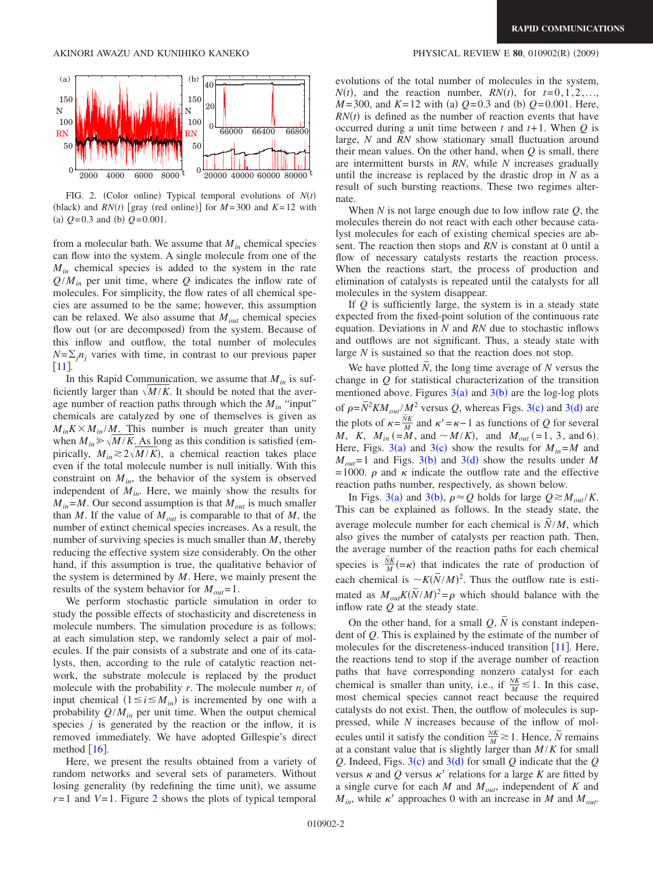<span id="page-1-0"></span>

FIG. 2. (Color online) Typical temporal evolutions of  $N(t)$ (black) and *RN*(*t*) [gray (red online)] for  $M = 300$  and  $K = 12$  with (a)  $Q = 0.3$  and (b)  $Q = 0.001$ .

from a molecular bath. We assume that  $M_{in}$  chemical species can flow into the system. A single molecule from one of the *Min* chemical species is added to the system in the rate  $Q/M_{in}$  per unit time, where *Q* indicates the inflow rate of molecules. For simplicity, the flow rates of all chemical species are assumed to be the same; however, this assumption can be relaxed. We also assume that  $M_{out}$  chemical species flow out (or are decomposed) from the system. Because of this inflow and outflow, the total number of molecules  $N=\sum_{i} n_i$  varies with time, in contrast to our previous paper [[11](#page-3-5)].

In this Rapid Communication, we assume that  $M_{in}$  is sufficiently larger than  $\sqrt{M/K}$ . It should be noted that the average number of reaction paths through which the  $M_{in}$  "input" chemicals are catalyzed by one of themselves is given as  $M_{in} K \times M_{in} / M$ . This number is much greater than unity when  $M_{in} \ge \sqrt{M/K}$ . As long as this condition is satisfied (empirically,  $M_{in} \gtrsim 2\sqrt{M/K}$ , a chemical reaction takes place even if the total molecule number is null initially. With this constraint on  $M_{in}$ , the behavior of the system is observed independent of *Min*. Here, we mainly show the results for  $M_{in} = M$ . Our second assumption is that  $M_{out}$  is much smaller than *M*. If the value of  $M_{out}$  is comparable to that of *M*, the number of extinct chemical species increases. As a result, the number of surviving species is much smaller than *M*, thereby reducing the effective system size considerably. On the other hand, if this assumption is true, the qualitative behavior of the system is determined by *M*. Here, we mainly present the results of the system behavior for  $M_{out} = 1$ .

We perform stochastic particle simulation in order to study the possible effects of stochasticity and discreteness in molecule numbers. The simulation procedure is as follows: at each simulation step, we randomly select a pair of molecules. If the pair consists of a substrate and one of its catalysts, then, according to the rule of catalytic reaction network, the substrate molecule is replaced by the product molecule with the probability  $r$ . The molecule number  $n_i$  of input chemical  $(1 \le i \le M_{in})$  is incremented by one with a probability  $Q/M_{in}$  per unit time. When the output chemical species  $j$  is generated by the reaction or the inflow, it is removed immediately. We have adopted Gillespie's direct method  $\lceil 16 \rceil$  $\lceil 16 \rceil$  $\lceil 16 \rceil$ .

Here, we present the results obtained from a variety of random networks and several sets of parameters. Without losing generality (by redefining the time unit), we assume  $r=1$  and  $V=1$ . Figure [2](#page-1-0) shows the plots of typical temporal

## $(2009)$

evolutions of the total number of molecules in the system,  $N(t)$ , and the reaction number,  $RN(t)$ , for  $t=0,1,2,...$  $M = 300$ , and  $K = 12$  with (a)  $Q = 0.3$  and (b)  $Q = 0.001$ . Here,  $RN(t)$  is defined as the number of reaction events that have occurred during a unit time between *t* and *t*+ 1. When *Q* is large, *N* and *RN* show stationary small fluctuation around their mean values. On the other hand, when *Q* is small, there are intermittent bursts in *RN*, while *N* increases gradually until the increase is replaced by the drastic drop in *N* as a result of such bursting reactions. These two regimes alternate.

When *N* is not large enough due to low inflow rate *Q*, the molecules therein do not react with each other because catalyst molecules for each of existing chemical species are absent. The reaction then stops and *RN* is constant at 0 until a flow of necessary catalysts restarts the reaction process. When the reactions start, the process of production and elimination of catalysts is repeated until the catalysts for all molecules in the system disappear.

If *Q* is sufficiently large, the system is in a steady state expected from the fixed-point solution of the continuous rate equation. Deviations in *N* and *RN* due to stochastic inflows and outflows are not significant. Thus, a steady state with large *N* is sustained so that the reaction does not stop.

We have plotted *N*, the long time average of *N* versus the change in *Q* for statistical characterization of the transition mentioned above. Figures  $3(a)$  $3(a)$  and  $3(b)$  are the log-log plots of  $\rho = \bar{N}^2 K M_{out} / M^2$  versus *Q*, whereas Figs. [3](#page-2-0)(c) and 3(d) are the plots of  $\kappa = \frac{NK}{M}$  and  $\kappa' = \kappa - 1$  as functions of *Q* for several *M*, *K*,  $M_{in} (=M, \text{ and } \sim M/K)$ , and  $M_{out} (=1, 3, \text{ and } 6)$ . Here, Figs. [3](#page-2-0)(a) and 3(c) show the results for  $M_{in} = M$  and  $M_{out}$ =1 and Figs. [3](#page-2-0)(b) and 3(d) show the results under *M* = 1000.  $\rho$  and  $\kappa$  indicate the outflow rate and the effective reaction paths number, respectively, as shown below.

In Figs. [3](#page-2-0)(a) and 3(b),  $\rho \approx Q$  holds for large  $Q \approx M_{out}/K$ . This can be explained as follows. In the steady state, the average molecule number for each chemical is  $\overline{N}/M$ , which also gives the number of catalysts per reaction path. Then, the average number of the reaction paths for each chemical species is  $\frac{\overline{N}K}{M}$  =  $\kappa$ ) that indicates the rate of production of each chemical is  $\sim K(\bar{N}/M)^2$ . Thus the outflow rate is estimated as  $M_{out}K(\bar{N}/M)^2 = \rho$  which should balance with the inflow rate *Q* at the steady state.

On the other hand, for a small  $Q$ ,  $N$  is constant independent of *Q*. This is explained by the estimate of the number of molecules for the discreteness-induced transition  $[11]$  $[11]$  $[11]$ . Here, the reactions tend to stop if the average number of reaction paths that have corresponding nonzero catalyst for each chemical is smaller than unity, i.e., if  $\frac{NK}{M} \le 1$ . In this case, most chemical species cannot react because the required catalysts do not exist. Then, the outflow of molecules is suppressed, while *N* increases because of the inflow of molecules until it satisfy the condition  $\frac{NK}{M} \ge 1$ . Hence,  $\overline{N}$  remains at a constant value that is slightly larger than  $M/K$  for small  $Q$ . Indeed, Figs. [3](#page-2-0)(c) and 3(d) for small  $Q$  indicate that the  $Q$ versus  $\kappa$  and Q versus  $\kappa'$  relations for a large K are fitted by a single curve for each *M* and *Mout*, independent of *K* and  $M_{in}$ , while  $\kappa'$  approaches 0 with an increase in *M* and  $M_{out}$ .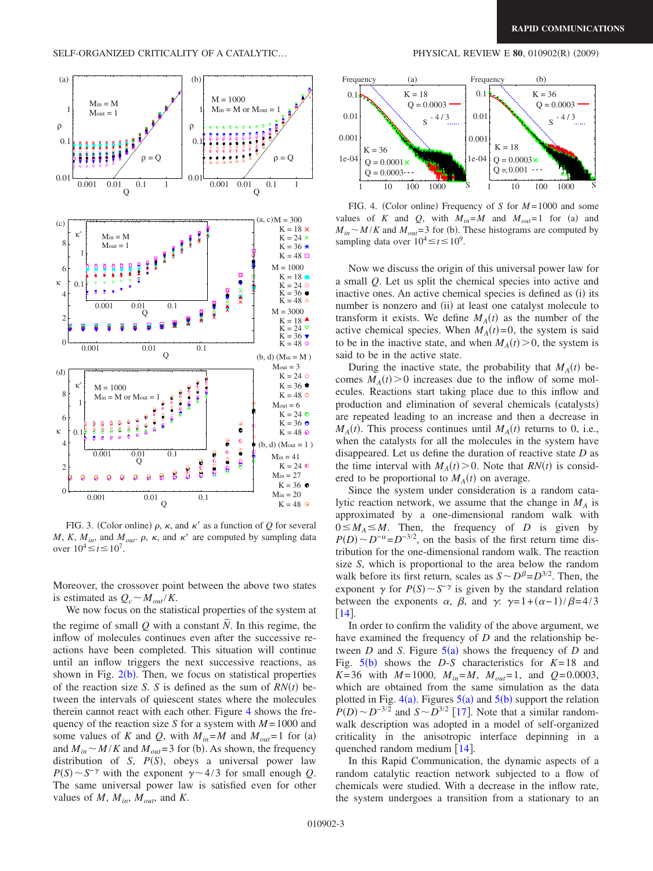<span id="page-2-0"></span>

FIG. 3. (Color online)  $\rho$ ,  $\kappa$ , and  $\kappa'$  as a function of  $Q$  for several *M*, *K*,  $M_{in}$ , and  $M_{out}$ .  $\rho$ ,  $\kappa$ , and  $\kappa'$  are computed by sampling data over  $10^4 \le t \le 10^7$ .

Moreover, the crossover point between the above two states is estimated as  $Q_c \sim M_{out}/K$ .

We now focus on the statistical properties of the system at the regime of small  $Q$  with a constant  $N$ . In this regime, the inflow of molecules continues even after the successive reactions have been completed. This situation will continue until an inflow triggers the next successive reactions, as shown in Fig.  $2(b)$  $2(b)$ . Then, we focus on statistical properties of the reaction size *S*. *S* is defined as the sum of  $RN(t)$  between the intervals of quiescent states where the molecules therein cannot react with each other. Figure [4](#page-2-1) shows the frequency of the reaction size *S* for a system with *M* = 1000 and some values of *K* and *Q*, with  $M_{in} = M$  and  $M_{out} = 1$  for (a) and  $M_{in} \sim M/K$  and  $M_{out} = 3$  for (b). As shown, the frequency distribution of *S*,  $P(S)$ , obeys a universal power law  $P(S) \sim S^{-\gamma}$  with the exponent  $\gamma \sim 4/3$  for small enough *Q*. The same universal power law is satisfied even for other values of  $M$ ,  $M_{in}$ ,  $M_{out}$ , and  $K$ .

## $(2009)$

<span id="page-2-1"></span>

FIG. 4. (Color online) Frequency of *S* for *M* = 1000 and some values of *K* and *Q*, with  $M_{in} = M$  and  $M_{out} = 1$  for (a) and  $M_{in} \sim M/K$  and  $M_{out} = 3$  for (b). These histograms are computed by sampling data over  $10^4 \le t \le 10^9$ .

Now we discuss the origin of this universal power law for a small *Q*. Let us split the chemical species into active and inactive ones. An active chemical species is defined as (i) its number is nonzero and (ii) at least one catalyst molecule to transform it exists. We define  $M_A(t)$  as the number of the active chemical species. When  $M_A(t)=0$ , the system is said to be in the inactive state, and when  $M_A(t) > 0$ , the system is said to be in the active state.

During the inactive state, the probability that  $M_A(t)$  becomes  $M_A(t) > 0$  increases due to the inflow of some molecules. Reactions start taking place due to this inflow and production and elimination of several chemicals (catalysts) are repeated leading to an increase and then a decrease in  $M_A(t)$ . This process continues until  $M_A(t)$  returns to 0, i.e., when the catalysts for all the molecules in the system have disappeared. Let us define the duration of reactive state *D* as the time interval with  $M_A(t) > 0$ . Note that  $RN(t)$  is considered to be proportional to  $M_A(t)$  on average.

Since the system under consideration is a random catalytic reaction network, we assume that the change in  $M_A$  is approximated by a one-dimensional random walk with  $0 \leq M_A \leq M$ . Then, the frequency of *D* is given by  $P(D) \sim D^{-\alpha} = D^{-3/2}$ , on the basis of the first return time distribution for the one-dimensional random walk. The reaction size *S*, which is proportional to the area below the random walk before its first return, scales as  $S \sim D^{\beta} = D^{3/2}$ . Then, the exponent  $\gamma$  for  $P(S) \sim S^{-\gamma}$  is given by the standard relation between the exponents  $\alpha$ ,  $\beta$ , and  $\gamma$ :  $\gamma = 1 + (\alpha - 1)/\beta = 4/3$  $\lceil 14 \rceil$  $\lceil 14 \rceil$  $\lceil 14 \rceil$ .

In order to confirm the validity of the above argument, we have examined the frequency of *D* and the relationship between *D* and *S*. Figure  $5(a)$  $5(a)$  shows the frequency of *D* and Fig.  $5(b)$  $5(b)$  shows the *D*-*S* characteristics for  $K=18$  and *K*=36 with *M* = 1000,  $M_{in} = M$ ,  $M_{out} = 1$ , and  $Q = 0.0003$ , which are obtained from the same simulation as the data plotted in Fig.  $4(a)$  $4(a)$ . Figures  $5(a)$  $5(a)$  and  $5(b)$  support the relation  $P(D) \sim D^{-3/2}$  and  $S \sim D^{3/2}$  [[17](#page-3-11)]. Note that a similar randomwalk description was adopted in a model of self-organized criticality in the anisotropic interface depinning in a quenched random medium  $\lceil 14 \rceil$  $\lceil 14 \rceil$  $\lceil 14 \rceil$ .

In this Rapid Communication, the dynamic aspects of a random catalytic reaction network subjected to a flow of chemicals were studied. With a decrease in the inflow rate, the system undergoes a transition from a stationary to an